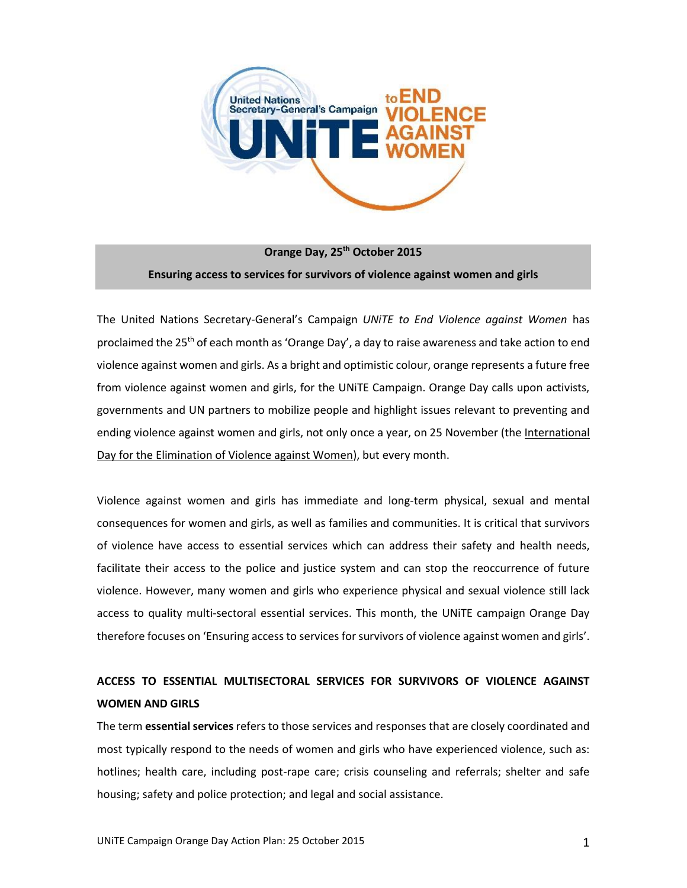

**Orange Day, 25th October 2015 Ensuring access to services for survivors of violence against women and girls**

The United Nations Secretary-General's Campaign *UNiTE to End Violence against Women* has proclaimed the 25<sup>th</sup> of each month as 'Orange Day', a day to raise awareness and take action to end violence against women and girls. As a bright and optimistic colour, orange represents a future free from violence against women and girls, for the UNiTE Campaign. Orange Day calls upon activists, governments and UN partners to mobilize people and highlight issues relevant to preventing and ending violence against women and girls, not only once a year, on 25 November (th[e International](http://www.unwomen.org/en/news/in-focus/end-violence-against-women)  [Day for the Elimination of Violence against Women\)](http://www.unwomen.org/en/news/in-focus/end-violence-against-women), but every month.

Violence against women and girls has immediate and long-term physical, sexual and mental consequences for women and girls, as well as families and communities. It is critical that survivors of violence have access to essential services which can address their safety and health needs, facilitate their access to the police and justice system and can stop the reoccurrence of future violence. However, many women and girls who experience physical and sexual violence still lack access to quality multi-sectoral essential services. This month, the UNiTE campaign Orange Day therefore focuses on 'Ensuring access to services for survivors of violence against women and girls'.

# **ACCESS TO ESSENTIAL MULTISECTORAL SERVICES FOR SURVIVORS OF VIOLENCE AGAINST WOMEN AND GIRLS**

The term **essential services** refers to those services and responses that are closely coordinated and most typically respond to the needs of women and girls who have experienced violence, such as: hotlines; health care, including post-rape care; crisis counseling and referrals; shelter and safe housing; safety and police protection; and legal and social assistance.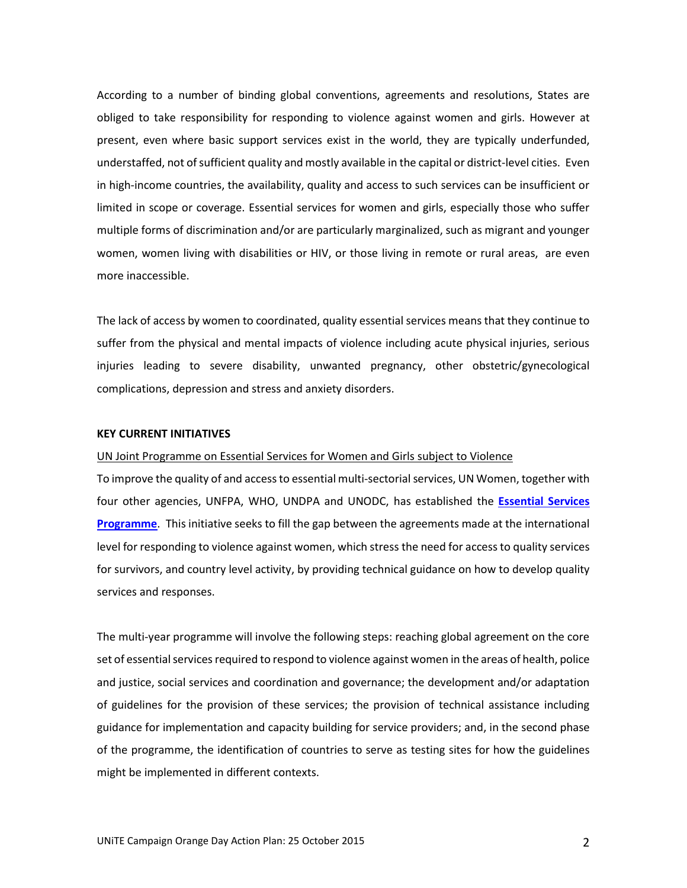According to a number of binding global conventions, agreements and resolutions, States are obliged to take responsibility for responding to violence against women and girls. However at present, even where basic support services exist in the world, they are typically underfunded, understaffed, not of sufficient quality and mostly available in the capital or district-level cities. Even in high-income countries, the availability, quality and access to such services can be insufficient or limited in scope or coverage. Essential services for women and girls, especially those who suffer multiple forms of discrimination and/or are particularly marginalized, such as migrant and younger women, women living with disabilities or HIV, or those living in remote or rural areas, are even more inaccessible.

The lack of access by women to coordinated, quality essential services means that they continue to suffer from the physical and mental impacts of violence including acute physical injuries, serious injuries leading to severe disability, unwanted pregnancy, other obstetric/gynecological complications, depression and stress and anxiety disorders.

### **KEY CURRENT INITIATIVES**

## UN Joint Programme on Essential Services for Women and Girls subject to Violence

To improve the quality of and access to essential multi-sectorial services, UN Women, together with four other agencies, UNFPA, WHO, UNDPA and UNODC, has established the **[Essential Services](http://www.unwomen.org/~/media/headquarters/attachments/sections/library/publications/2014/brief-essential%20services-web.pdf)  [Programme](http://www.unwomen.org/~/media/headquarters/attachments/sections/library/publications/2014/brief-essential%20services-web.pdf)**. This initiative seeks to fill the gap between the agreements made at the international level for responding to violence against women, which stress the need for access to quality services for survivors, and country level activity, by providing technical guidance on how to develop quality services and responses.

The multi-year programme will involve the following steps: reaching global agreement on the core set of essential services required to respond to violence against women in the areas of health, police and justice, social services and coordination and governance; the development and/or adaptation of guidelines for the provision of these services; the provision of technical assistance including guidance for implementation and capacity building for service providers; and, in the second phase of the programme, the identification of countries to serve as testing sites for how the guidelines might be implemented in different contexts.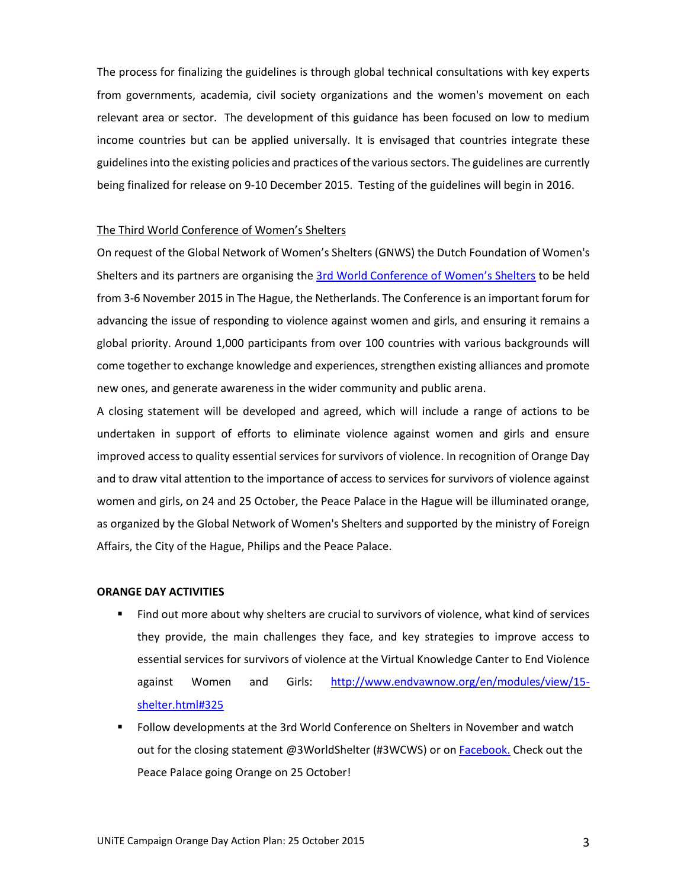The process for finalizing the guidelines is through global technical consultations with key experts from governments, academia, civil society organizations and the women's movement on each relevant area or sector. The development of this guidance has been focused on low to medium income countries but can be applied universally. It is envisaged that countries integrate these guidelines into the existing policies and practices of the various sectors. The guidelines are currently being finalized for release on 9-10 December 2015. Testing of the guidelines will begin in 2016.

#### The Third World Conference of Women's Shelters

On request of the Global Network of Women's Shelters (GNWS) the Dutch Foundation of Women's Shelters and its partners are organising the [3rd World Conference of Women's Shelters](http://www.worldshelterconference.org/en/) to be held from 3-6 November 2015 in The Hague, the Netherlands. The Conference is an important forum for advancing the issue of responding to violence against women and girls, and ensuring it remains a global priority. Around 1,000 participants from over 100 countries with various backgrounds will come together to exchange knowledge and experiences, strengthen existing alliances and promote new ones, and generate awareness in the wider community and public arena.

A closing statement will be developed and agreed, which will include a range of actions to be undertaken in support of efforts to eliminate violence against women and girls and ensure improved access to quality essential services for survivors of violence. In recognition of Orange Day and to draw vital attention to the importance of access to services for survivors of violence against women and girls, on 24 and 25 October, the Peace Palace in the Hague will be illuminated orange, as organized by the Global Network of Women's Shelters and supported by the ministry of Foreign Affairs, the City of the Hague, Philips and the Peace Palace.

#### **ORANGE DAY ACTIVITIES**

- Find out more about why shelters are crucial to survivors of violence, what kind of services they provide, the main challenges they face, and key strategies to improve access to essential services for survivors of violence at the Virtual Knowledge Canter to End Violence against Women and Girls: [http://www.endvawnow.org/en/modules/view/15](http://www.endvawnow.org/en/modules/view/15-shelter.html#325) [shelter.html#325](http://www.endvawnow.org/en/modules/view/15-shelter.html#325)
- Follow developments at the 3rd World Conference on Shelters in November and watch out for the closing statement @3WorldShelter (#3WCWS) or o[n Facebook.](https://www.facebook.com/GlobalNetworkofWomensShelters) Check out the Peace Palace going Orange on 25 October!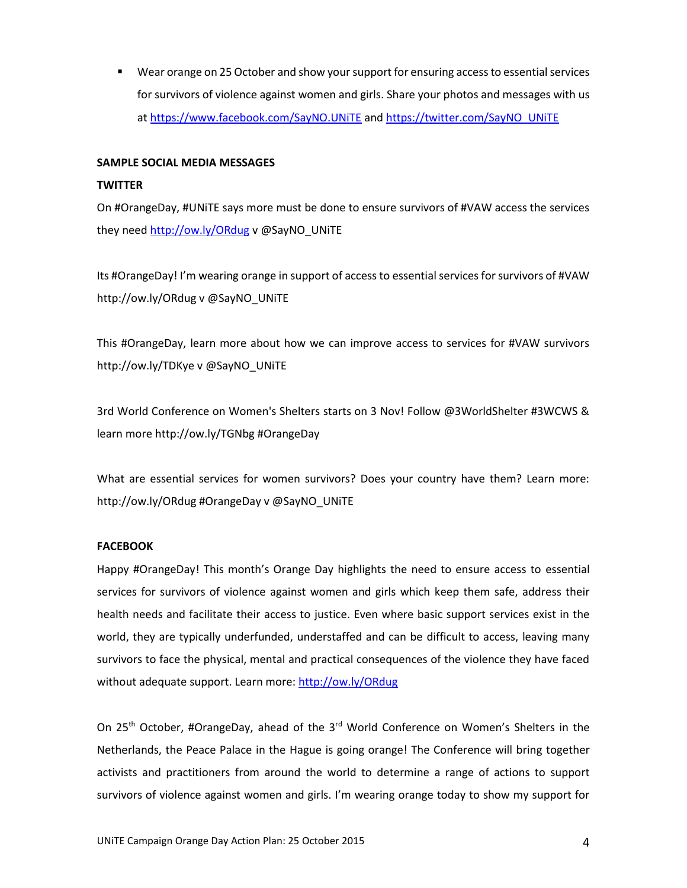Wear orange on 25 October and show your support for ensuring access to essential services for survivors of violence against women and girls. Share your photos and messages with us at<https://www.facebook.com/SayNO.UNiTE> and [https://twitter.com/SayNO\\_UNiTE](https://twitter.com/SayNO_UNiTE)

## **SAMPLE SOCIAL MEDIA MESSAGES**

## **TWITTER**

On #OrangeDay, #UNiTE says more must be done to ensure survivors of #VAW access the services they need <http://ow.ly/ORdug> v @SayNO\_UNiTE

Its #OrangeDay! I'm wearing orange in support of access to essential services for survivors of #VAW http://ow.ly/ORdug v @SayNO\_UNiTE

This #OrangeDay, learn more about how we can improve access to services for #VAW survivors http://ow.ly/TDKye v @SayNO\_UNiTE

3rd World Conference on Women's Shelters starts on 3 Nov! Follow @3WorldShelter #3WCWS & learn more http://ow.ly/TGNbg #OrangeDay

What are essential services for women survivors? Does your country have them? Learn more: http://ow.ly/ORdug #OrangeDay v @SayNO\_UNiTE

# **FACEBOOK**

Happy #OrangeDay! This month's Orange Day highlights the need to ensure access to essential services for survivors of violence against women and girls which keep them safe, address their health needs and facilitate their access to justice. Even where basic support services exist in the world, they are typically underfunded, understaffed and can be difficult to access, leaving many survivors to face the physical, mental and practical consequences of the violence they have faced without adequate support. Learn more: <http://ow.ly/ORdug>

On 25<sup>th</sup> October, #OrangeDay, ahead of the 3<sup>rd</sup> World Conference on Women's Shelters in the Netherlands, the Peace Palace in the Hague is going orange! The Conference will bring together activists and practitioners from around the world to determine a range of actions to support survivors of violence against women and girls. I'm wearing orange today to show my support for